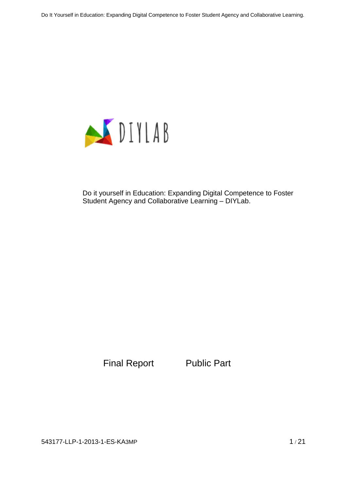

Do it yourself in Education: Expanding Digital Competence to Foster Student Agency and Collaborative Learning – DIYLab.

Final Report Public Part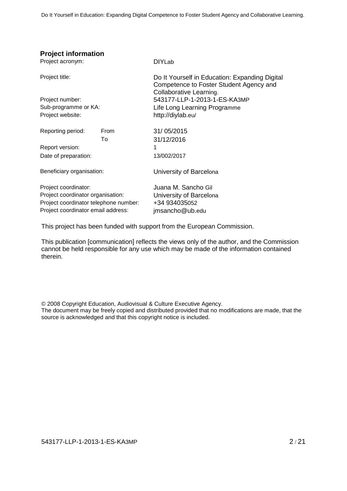## **Project information**

| Project acronym:                      |      | <b>DIYLab</b>                                                                                                        |  |
|---------------------------------------|------|----------------------------------------------------------------------------------------------------------------------|--|
| Project title:                        |      | Do It Yourself in Education: Expanding Digital<br>Competence to Foster Student Agency and<br>Collaborative Learning. |  |
| Project number:                       |      | 543177-LLP-1-2013-1-ES-KA3MP                                                                                         |  |
| Sub-programme or KA:                  |      | Life Long Learning Programme                                                                                         |  |
| Project website:                      |      | http://diylab.eu/                                                                                                    |  |
| Reporting period:                     | From | 31/05/2015                                                                                                           |  |
|                                       | To   | 31/12/2016                                                                                                           |  |
| Report version:                       |      | 1                                                                                                                    |  |
| Date of preparation:                  |      | 13/002/2017                                                                                                          |  |
| Beneficiary organisation:             |      | University of Barcelona                                                                                              |  |
| Project coordinator:                  |      | Juana M. Sancho Gil                                                                                                  |  |
| Project coordinator organisation:     |      | University of Barcelona                                                                                              |  |
| Project coordinator telephone number: |      | +34 934035052                                                                                                        |  |
| Project coordinator email address:    |      | jmsancho@ub.edu                                                                                                      |  |

This project has been funded with support from the European Commission.

This publication [communication] reflects the views only of the author, and the Commission cannot be held responsible for any use which may be made of the information contained therein.

© 2008 Copyright Education, Audiovisual & Culture Executive Agency.

The document may be freely copied and distributed provided that no modifications are made, that the source is acknowledged and that this copyright notice is included.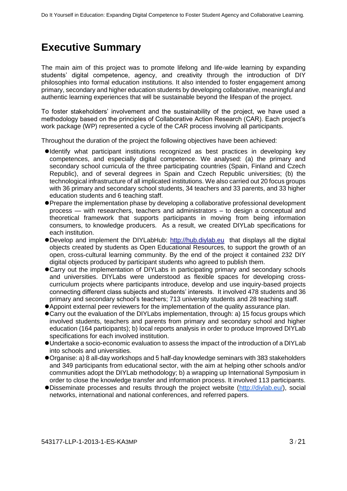# **Executive Summary**

The main aim of this project was to promote lifelong and life-wide learning by expanding students' digital competence, agency, and creativity through the introduction of DIY philosophies into formal education institutions. It also intended to foster engagement among primary, secondary and higher education students by developing collaborative, meaningful and authentic learning experiences that will be sustainable beyond the lifespan of the project.

To foster stakeholders' involvement and the sustainability of the project, we have used a methodology based on the principles of Collaborative Action Research (CAR). Each project's work package (WP) represented a cycle of the CAR process involving all participants.

Throughout the duration of the project the following objectives have been achieved:

- Identify what participant institutions recognized as best practices in developing key competences, and especially digital competence. We analysed: (a) the primary and secondary school curricula of the three participating countries (Spain, Finland and Czech Republic), and of several degrees in Spain and Czech Republic universities; (b) the technological infrastructure of all implicated institutions. We also carried out 20 focus groups with 36 primary and secondary school students, 34 teachers and 33 parents, and 33 higher education students and 6 teaching staff.
- Prepare the implementation phase by developing a collaborative professional development process — with researchers, teachers and administrators – to design a conceptual and theoretical framework that supports participants in moving from being information consumers, to knowledge producers. As a result, we created DIYLab specifications for each institution.
- Develop and implement the DIYLabHub: [http://hub.diylab.eu](http://hub.diylab.eu/) that displays all the digital objects created by students as Open Educational Resources, to support the growth of an open, cross-cultural learning community. By the end of the project it contained 232 DIY digital objects produced by participant students who agreed to publish them.
- Carry out the implementation of DIYLabs in participating primary and secondary schools and universities. DIYLabs were understood as flexible spaces for developing crosscurriculum projects where participants introduce, develop and use inquiry-based projects connecting different class subjects and students' interests. It involved 478 students and 36 primary and secondary school's teachers; 713 university students and 28 teaching staff.
- Appoint external peer reviewers for the implementation of the quality assurance plan.
- Carry out the evaluation of the DIYLabs implementation, through: a) 15 focus groups which involved students, teachers and parents from primary and secondary school and higher education (164 participants); b) local reports analysis in order to produce Improved DIYLab specifications for each involved institution.
- Undertake a socio-economic evaluation to assess the impact of the introduction of a DIYLab into schools and universities.
- Organise: a) 8 all-day workshops and 5 half-day knowledge seminars with 383 stakeholders and 349 participants from educational sector, with the aim at helping other schools and/or communities adopt the DIYLab methodology; b) a wrapping up International Symposium in order to close the knowledge transfer and information process. It involved 113 participants.
- Disseminate processes and results through the project website [\(http://diylab.eu/\)](http://diylab.eu/), social networks, international and national conferences, and referred papers.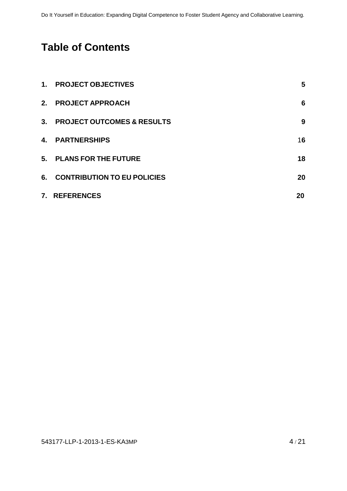# **Table of Contents**

| $1_{-}$ | <b>PROJECT OBJECTIVES</b>             | 5  |
|---------|---------------------------------------|----|
| 2.      | <b>PROJECT APPROACH</b>               | 6  |
| 3.      | <b>PROJECT OUTCOMES &amp; RESULTS</b> | 9  |
| 4.      | <b>PARTNERSHIPS</b>                   | 16 |
| 5.      | <b>PLANS FOR THE FUTURE</b>           | 18 |
| 6.      | <b>CONTRIBUTION TO EU POLICIES</b>    | 20 |
|         | 7. REFERENCES                         | 20 |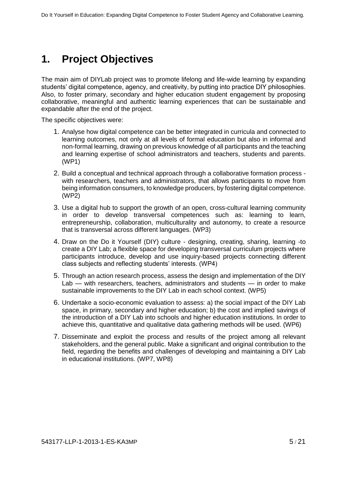# **1. Project Objectives**

The main aim of DIYLab project was to promote lifelong and life-wide learning by expanding students' digital competence, agency, and creativity, by putting into practice DIY philosophies. Also, to foster primary, secondary and higher education student engagement by proposing collaborative, meaningful and authentic learning experiences that can be sustainable and expandable after the end of the project.

The specific objectives were:

- 1. Analyse how digital competence can be better integrated in curricula and connected to learning outcomes, not only at all levels of formal education but also in informal and non-formal learning, drawing on previous knowledge of all participants and the teaching and learning expertise of school administrators and teachers, students and parents. (WP1)
- 2. Build a conceptual and technical approach through a collaborative formation process with researchers, teachers and administrators, that allows participants to move from being information consumers, to knowledge producers, by fostering digital competence. (WP2)
- 3. Use a digital hub to support the growth of an open, cross-cultural learning community in order to develop transversal competences such as: learning to learn, entrepreneurship, collaboration, multiculturality and autonomy, to create a resource that is transversal across different languages. (WP3)
- 4. Draw on the Do it Yourself (DIY) culture designing, creating, sharing, learning -to create a DIY Lab; a flexible space for developing transversal curriculum projects where participants introduce, develop and use inquiry-based projects connecting different class subjects and reflecting students' interests. (WP4)
- 5. Through an action research process, assess the design and implementation of the DIY Lab — with researchers, teachers, administrators and students — in order to make sustainable improvements to the DIY Lab in each school context. (WP5)
- 6. Undertake a socio-economic evaluation to assess: a) the social impact of the DIY Lab space, in primary, secondary and higher education; b) the cost and implied savings of the introduction of a DIY Lab into schools and higher education institutions. In order to achieve this, quantitative and qualitative data gathering methods will be used. (WP6)
- 7. Disseminate and exploit the process and results of the project among all relevant stakeholders, and the general public. Make a significant and original contribution to the field, regarding the benefits and challenges of developing and maintaining a DIY Lab in educational institutions. (WP7, WP8)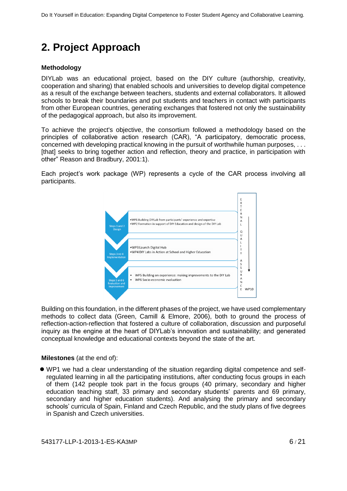# **2. Project Approach**

### **Methodology**

DIYLab was an educational project, based on the DIY culture (authorship, creativity, cooperation and sharing) that enabled schools and universities to develop digital competence as a result of the exchange between teachers, students and external collaborators. It allowed schools to break their boundaries and put students and teachers in contact with participants from other European countries, generating exchanges that fostered not only the sustainability of the pedagogical approach, but also its improvement.

To achieve the project's objective, the consortium followed a methodology based on the principles of collaborative action research (CAR), "A participatory, democratic process, concerned with developing practical knowing in the pursuit of worthwhile human purposes, . . . [that] seeks to bring together action and reflection, theory and practice, in participation with other" Reason and Bradbury, 2001:1).

Each project's work package (WP) represents a cycle of the CAR process involving all participants.



Building on this foundation, in the different phases of the project, we have used complementary methods to collect data (Green, Camill & Elmore, 2006), both to ground the process of reflection-action-reflection that fostered a culture of collaboration, discussion and purposeful inquiry as the engine at the heart of DIYLab's innovation and sustainability; and generated conceptual knowledge and educational contexts beyond the state of the art.

**Milestones** (at the end of):

 WP1 we had a clear understanding of the situation regarding digital competence and selfregulated learning in all the participating institutions, after conducting focus groups in each of them (142 people took part in the focus groups (40 primary, secondary and higher education teaching staff, 33 primary and secondary students' parents and 69 primary, secondary and higher education students). And analysing the primary and secondary schools' curricula of Spain, Finland and Czech Republic, and the study plans of five degrees in Spanish and Czech universities.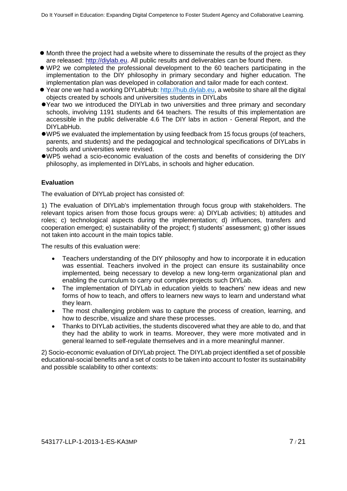- $\bullet$  Month three the project had a website where to disseminate the results of the project as they are released: [http://diylab.eu.](http://diylab.eu/) All public results and deliverables can be found there.
- WP2 we completed the professional development to the 60 teachers participating in the implementation to the DIY philosophy in primary secondary and higher education. The implementation plan was developed in collaboration and tailor made for each context.
- Year one we had a working DIYLabHub: [http://hub.diylab.eu,](http://hub.diylab.eu/) a website to share all the digital objects created by schools and universities students in DIYLabs
- Year two we introduced the DIYLab in two universities and three primary and secondary schools, involving 1191 students and 64 teachers. The results of this implementation are accessible in the public deliverable 4.6 The DIY labs in action - General Report, and the DIYLabHub.
- WP5 we evaluated the implementation by using feedback from 15 focus groups (of teachers, parents, and students) and the pedagogical and technological specifications of DIYLabs in schools and universities were revised.
- WP5 wehad a scio-economic evaluation of the costs and benefits of considering the DIY philosophy, as implemented in DIYLabs, in schools and higher education.

#### **Evaluation**

The evaluation of DIYLab project has consisted of:

1) The evaluation of DIYLab's implementation through focus group with stakeholders. The relevant topics arisen from those focus groups were: a) DIYLab activities; b) attitudes and roles; c) technological aspects during the implementation; d) influences, transfers and cooperation emerged; e) sustainability of the project; f) students' assessment; g) other issues not taken into account in the main topics table.

The results of this evaluation were:

- Teachers understanding of the DIY philosophy and how to incorporate it in education was essential. Teachers involved in the project can ensure its sustainability once implemented, being necessary to develop a new long-term organizational plan and enabling the curriculum to carry out complex projects such DIYLab.
- The implementation of DIYLab in education yields to teachers' new ideas and new forms of how to teach, and offers to learners new ways to learn and understand what they learn.
- The most challenging problem was to capture the process of creation, learning, and how to describe, visualize and share these processes.
- Thanks to DIYLab activities, the students discovered what they are able to do, and that they had the ability to work in teams. Moreover, they were more motivated and in general learned to self-regulate themselves and in a more meaningful manner.

2) Socio-economic evaluation of DIYLab project. The DIYLab project identified a set of possible educational-social benefits and a set of costs to be taken into account to foster its sustainability and possible scalability to other contexts: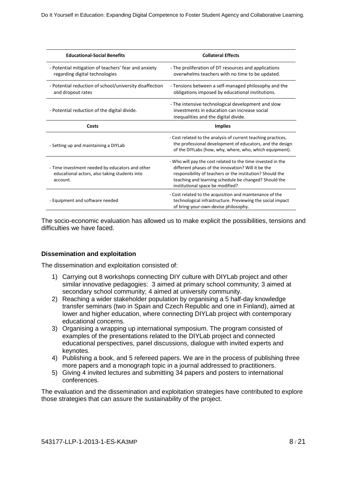| <b>Educational-Social Benefits</b>                                                                           | <b>Collateral Effects</b>                                                                                                                                                                                                                                                   |
|--------------------------------------------------------------------------------------------------------------|-----------------------------------------------------------------------------------------------------------------------------------------------------------------------------------------------------------------------------------------------------------------------------|
| - Potential mitigation of teachers' fear and anxiety<br>regarding digital technologies                       | - The proliferation of DT resources and applications<br>overwhelms teachers with no time to be updated.                                                                                                                                                                     |
| - Potential reduction of school/university disaffection<br>and dropout rates                                 | - Tensions between a self-managed philosophy and the<br>obligations imposed by educational institutions.                                                                                                                                                                    |
| - Potential reduction of the digital divide.                                                                 | - The intensive technological development and slow<br>investments in education can increase social<br>inequalities and the digital divide.                                                                                                                                  |
| Costs                                                                                                        | <b>Implies</b>                                                                                                                                                                                                                                                              |
| - Setting up and maintaining a DIYLab                                                                        | - Cost related to the analysis of current teaching practices,<br>the professional development of educators, and the design<br>of the DIYLabs (how, why, where, who, which equipment).                                                                                       |
| - Time investment needed by educators and other<br>educational actors, also taking students into<br>account. | - Who will pay the cost related to the time invested in the<br>different phases of the innovation? Will it be the<br>responsibility of teachers or the institution? Should the<br>teaching and learning schedule be changed? Should the<br>institutional space be modified? |
| - Equipment and software needed                                                                              | - Cost related to the acquisition and maintenance of the<br>technological infrastructure. Previewing the social impact<br>of bring-your-own-devise philosophy.                                                                                                              |

The socio-economic evaluation has allowed us to make explicit the possibilities, tensions and difficulties we have faced.

#### **Dissemination and exploitation**

The dissemination and exploitation consisted of:

- 1) Carrying out 8 workshops connecting DIY culture with DIYLab project and other similar innovative pedagogies: 3 aimed at primary school community; 3 aimed at secondary school community; 4 aimed at university community.
- 2) Reaching a wider stakeholder population by organising a 5 half-day knowledge transfer seminars (two in Spain and Czech Republic and one in Finland), aimed at lower and higher education, where connecting DIYLab project with contemporary educational concerns.
- 3) Organising a wrapping up international symposium. The program consisted of examples of the presentations related to the DIYLab project and connected educational perspectives, panel discussions, dialogue with invited experts and keynotes.
- 4) Publishing a book, and 5 refereed papers. We are in the process of publishing three more papers and a monograph topic in a journal addressed to practitioners.
- 5) Giving 4 invited lectures and submitting 34 papers and posters to international conferences.

The evaluation and the dissemination and exploitation strategies have contributed to explore those strategies that can assure the sustainability of the project.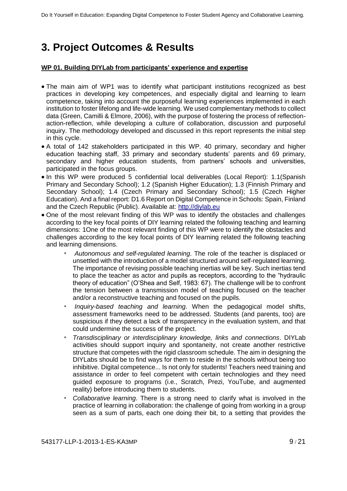# **3. Project Outcomes & Results**

#### **WP 01. Building DIYLab from participants' experience and expertise**

- The main aim of WP1 was to identify what participant institutions recognized as best practices in developing key competences, and especially digital and learning to learn competence, taking into account the purposeful learning experiences implemented in each institution to foster lifelong and life-wide learning. We used complementary methods to collect data (Green, Camilli & Elmore, 2006), with the purpose of fostering the process of reflectionaction-reflection, while developing a culture of collaboration, discussion and purposeful inquiry. The methodology developed and discussed in this report represents the initial step in this cycle.
- A total of 142 stakeholders participated in this WP. 40 primary, secondary and higher education teaching staff, 33 primary and secondary students' parents and 69 primary, secondary and higher education students, from partners' schools and universities, participated in the focus groups.
- In this WP were produced 5 confidential local deliverables (Local Report): 1.1(Spanish Primary and Secondary School); 1.2 (Spanish Higher Education); 1.3 (Finnish Primary and Secondary School); 1.4 (Czech Primary and Secondary School); 1.5 (Czech Higher Education). And a final report: D1.6 Report on Digital Competence in Schools: Spain, Finland and the Czech Republic (Public). Available at: [http://diylab.eu](http://diylab.eu/)
- One of the most relevant finding of this WP was to identify the obstacles and challenges according to the key focal points of DIY learning related the following teaching and learning dimensions: 1One of the most relevant finding of this WP were to identify the obstacles and challenges according to the key focal points of DIY learning related the following teaching and learning dimensions.
	- *Autonomous and self-regulated learning*. The role of the teacher is displaced or unsettled with the introduction of a model structured around self-regulated learning. The importance of revising possible teaching inertias will be key. Such inertias tend to place the teacher as actor and pupils as receptors, according to the "hydraulic theory of education" (O'Shea and Self, 1983: 67). The challenge will be to confront the tension between a transmission model of teaching focused on the teacher and/or a reconstructive teaching and focused on the pupils.
	- *Inquiry-based teaching and learning*. When the pedagogical model shifts, assessment frameworks need to be addressed. Students (and parents, too) are suspicious if they detect a lack of transparency in the evaluation system, and that could undermine the success of the project.
	- *Transdisciplinary or interdisciplinary knowledge, links and connections*. DIYLab activities should support inquiry and spontaneity, not create another restrictive structure that competes with the rigid classroom schedule. The aim in designing the DIYLabs should be to find ways for them to reside in the schools without being too inhibitive. Digital competence... Is not only for students! Teachers need training and assistance in order to feel competent with certain technologies and they need guided exposure to programs (i.e., Scratch, Prezi, YouTube, and augmented reality) before introducing them to students.
	- *Collaborative learning*. There is a strong need to clarify what is involved in the practice of learning in collaboration: the challenge of going from working in a group seen as a sum of parts, each one doing their bit, to a setting that provides the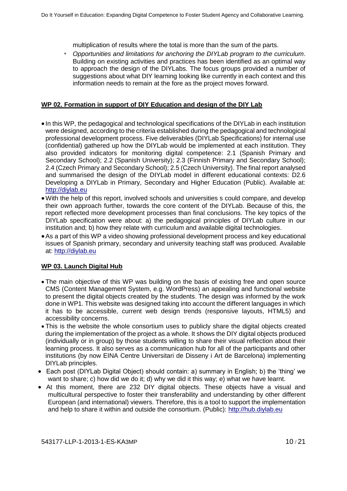multiplication of results where the total is more than the sum of the parts.

◦ *Opportunities and limitations for anchoring the DIYLab program to the curriculum*. Building on existing activities and practices has been identified as an optimal way to approach the design of the DIYLabs. The focus groups provided a number of suggestions about what DIY learning looking like currently in each context and this information needs to remain at the fore as the project moves forward.

#### **WP 02. Formation in support of DIY Education and design of the DIY Lab**

- In this WP, the pedagogical and technological specifications of the DIYLab in each institution were designed, according to the criteria established during the pedagogical and technological professional development process. Five deliverables (DIYLab Specifications) for internal use (confidential) gathered up how the DIYLab would be implemented at each institution. They also provided indicators for monitoring digital competence: 2.1 (Spanish Primary and Secondary School); 2.2 (Spanish University); 2.3 (Finnish Primary and Secondary School); 2.4 (Czech Primary and Secondary School); 2.5 (Czech University). The final report analysed and summarised the design of the DIYLab model in different educational contexts: D2.6 Developing a DIYLab in Primary, Secondary and Higher Education (Public). Available at: [http://diylab.eu](http://diylab.eu/)
- With the help of this report, involved schools and universities s could compare, and develop their own approach further, towards the core content of the DIYLab. Because of this, the report reflected more development processes than final conclusions. The key topics of the DIYLab specification were about: a) the pedagogical principles of DIYLab culture in our institution and; b) how they relate with curriculum and available digital technologies.
- As a part of this WP a video showing professional development process and key educational issues of Spanish primary, secondary and university teaching staff was produced. Available at: [http://diylab.eu](http://diylab.eu/)

#### **WP 03. Launch Digital Hub**

- The main objective of this WP was building on the basis of existing free and open source CMS (Content Management System, e.g. WordPress) an appealing and functional website to present the digital objects created by the students. The design was informed by the work done in WP1. This website was designed taking into account the different languages in which it has to be accessible, current web design trends (responsive layouts, HTML5) and accessibility concerns.
- This is the website the whole consortium uses to publicly share the digital objects created during the implementation of the project as a whole. It shows the DIY digital objects produced (individually or in group) by those students willing to share their visual reflection about their learning process. It also serves as a communication hub for all of the participants and other institutions (by now EINA Centre Universitari de Disseny i Art de Barcelona) implementing DIYLab principles.
- Each post (DIYLab Digital Object) should contain: a) summary in English; b) the 'thing' we want to share; c) how did we do it; d) why we did it this way; e) what we have learnt.
- At this moment, there are 232 DIY digital objects. These objects have a visual and multicultural perspective to foster their transferability and understanding by other different European (and international) viewers. Therefore, this is a tool to support the implementation and help to share it within and outside the consortium. (Public): [http://hub.diylab.eu](http://hub.diylab.eu/)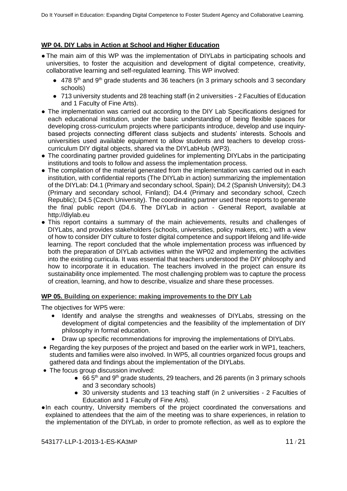### **WP 04. DIY Labs in Action at School and Higher Education**

- The main aim of this WP was the implementation of DIYLabs in participating schools and universities, to foster the acquisition and development of digital competence, creativity, collaborative learning and self-regulated learning. This WP involved:
	- $\bullet$  478 5<sup>th</sup> and 9<sup>th</sup> grade students and 36 teachers (in 3 primary schools and 3 secondary schools)
	- 713 university students and 28 teaching staff (in 2 universities 2 Faculties of Education and 1 Faculty of Fine Arts).
- The implementation was carried out according to the DIY Lab Specifications designed for each educational institution, under the basic understanding of being flexible spaces for developing cross-curriculum projects where participants introduce, develop and use inquirybased projects connecting different class subjects and students' interests. Schools and universities used available equipment to allow students and teachers to develop crosscurriculum DIY digital objects, shared via the DIYLabHub (WP3).
- The coordinating partner provided guidelines for implementing DIYLabs in the participating institutions and tools to follow and assess the implementation process.
- The compilation of the material generated from the implementation was carried out in each institution, with confidential reports (The DIYLab in action) summarizing the implementation of the DIYLab: D4.1 (Primary and secondary school, Spain); D4.2 (Spanish University); D4.3 (Primary and secondary school, Finland); D4.4 (Primary and secondary school, Czech Republic); D4.5 (Czech University). The coordinating partner used these reports to generate the final public report (D4.6. The DIYLab in action - General Report, available at [http://diylab.eu](http://diylab.eu/)
- This report contains a summary of the main achievements, results and challenges of DIYLabs, and provides stakeholders (schools, universities, policy makers, etc.) with a view of how to consider DIY culture to foster digital competence and support lifelong and life-wide learning. The report concluded that the whole implementation process was influenced by both the preparation of DIYLab activities within the WP02 and implementing the activities into the existing curricula. It was essential that teachers understood the DIY philosophy and how to incorporate it in education. The teachers involved in the project can ensure its sustainability once implemented. The most challenging problem was to capture the process of creation, learning, and how to describe, visualize and share these processes.

#### **WP 05. Building on experience: making improvements to the DIY Lab**

The objectives for WP5 were:

- Identify and analyse the strengths and weaknesses of DIYLabs, stressing on the development of digital competencies and the feasibility of the implementation of DIY philosophy in formal education.
- Draw up specific recommendations for improving the implementations of DIYLabs.
- Regarding the key purposes of the project and based on the earlier work in WP1, teachers, students and families were also involved. In WP5, all countries organized focus groups and gathered data and findings about the implementation of the DIYLabs.
- The focus group discussion involved:
	- 66  $5<sup>th</sup>$  and 9<sup>th</sup> grade students, 29 teachers, and 26 parents (in 3 primary schools and 3 secondary schools)
	- 30 university students and 13 teaching staff (in 2 universities 2 Faculties of Education and 1 Faculty of Fine Arts).
- ●In each country, University members of the project coordinated the conversations and explained to attendees that the aim of the meeting was to share experiences, in relation to the implementation of the DIYLab, in order to promote reflection, as well as to explore the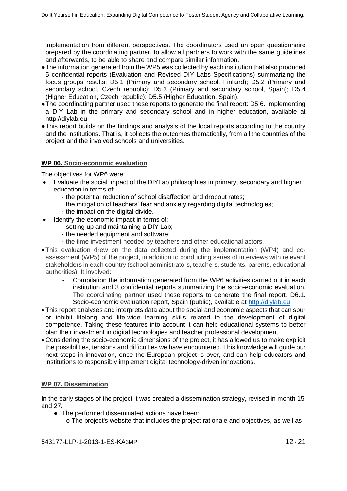implementation from different perspectives. The coordinators used an open questionnaire prepared by the coordinating partner, to allow all partners to work with the same guidelines and afterwards, to be able to share and compare similar information.

- ●The information generated from the WP5 was collected by each institution that also produced 5 confidential reports (Evaluation and Revised DIY Labs Specifications) summarizing the focus groups results: D5.1 (Primary and secondary school, Finland); D5.2 (Primary and secondary school, Czech republic); D5.3 (Primary and secondary school, Spain); D5.4 (Higher Education, Czech republic); D5.5 (Higher Education, Spain).
- ●The coordinating partner used these reports to generate the final report: D5.6. Implementing a DIY Lab in the primary and secondary school and in higher education, available at [http://diylab.eu](http://diylab.eu/)
- ●This report builds on the findings and analysis of the local reports according to the country and the institutions. That is, it collects the outcomes thematically, from all the countries of the project and the involved schools and universities.

### **WP 06. Socio-economic evaluation**

The objectives for WP6 were:

- Evaluate the social impact of the DIYLab philosophies in primary, secondary and higher education in terms of:
	- · the potential reduction of school disaffection and dropout rates;
	- · the mitigation of teachers' fear and anxiety regarding digital technologies;
	- · the impact on the digital divide.
- Identify the economic impact in terms of:
	- · setting up and maintaining a DIY Lab;
	- · the needed equipment and software;
	- · the time investment needed by teachers and other educational actors.
- This evaluation drew on the data collected during the implementation (WP4) and coassessment (WP5) of the project, in addition to conducting series of interviews with relevant stakeholders in each country (school administrators, teachers, students, parents, educational authorities). It involved:
	- Compilation the information generated from the WP6 activities carried out in each institution and 3 confidential reports summarizing the socio-economic evaluation. The coordinating partner used these reports to generate the final report. D6.1. Socio-economic evaluation report, Spain (public), available at [http://diylab.eu](http://diylab.eu/)
- This report analyses and interprets data about the social and economic aspects that can spur or inhibit lifelong and life-wide learning skills related to the development of digital competence. Taking these features into account it can help educational systems to better plan their investment in digital technologies and teacher professional development.
- Considering the socio-economic dimensions of the project, it has allowed us to make explicit the possibilities, tensions and difficulties we have encountered. This knowledge will guide our next steps in innovation, once the European project is over, and can help educators and institutions to responsibly implement digital technology-driven innovations.

### **WP 07. Dissemination**

In the early stages of the project it was created a dissemination strategy, revised in month 15 and 27.

- The performed disseminated actions have been:
	- o The project's website that includes the project rationale and objectives, as well as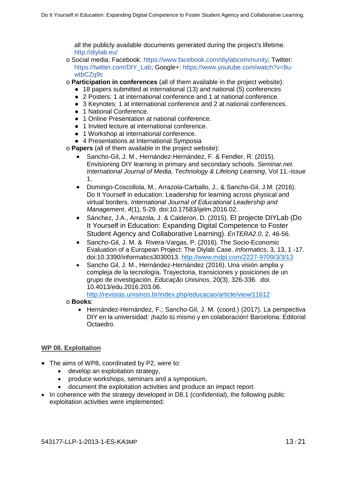all the publicly available documents generated during the project's lifetime. http://diylab.eu/

- o Social media: Facebook: https://www.facebook.com/diylabcommunity; Twitter: https://twitter.com/DIY\_Lab; Google+: https://www.youtube.com/watch?v=8uwtbCZq9c
- o **Participation in conferences** (all of them available in the project website):
	- 18 papers submitted at international (13) and national (5) conferences
	- 2 Posters: 1 at international conference and 1 at national conference.
	- 3 Keynotes: 1 at international conference and 2 at national conferences.
	- 1 National Conference.
	- 1 Online Presentation at national conference.
	- 1 Invited lecture at international conference.
	- 1 Workshop at international conference.
	- 4 Presentations at International Symposia

o **Papers** (all of them available in the project website):

- Sancho-Gil, J. M., Hernández-Hernández, F. & Fendler, R. (2015). Envisioning DIY learning in primary and secondary schools. *Seminar.net. International Journal of Media, Technology & Lifelong Learning*, Vol 11.-issue 1.
- Domingo-Coscollola, M., Arrazola-Carballo, J., & Sancho-Gil, J.M. (2016). Do It Yourself in education: Leadership for learning across physical and virtual borders. *International Journal of Educational Leadership and Management*, *4*(1), 5-29. doi:10.17583/ijelm.2016.02.
- Sánchez, J.A., Arrazola, J. & Calderon, D. (2015). El projecte DIYLab (Do It Yourself in Education: Expanding Digital Competence to Foster Student Agency and Collaborative Learning). *EnTERA2.0*, 2, 46-56.
- Sancho-Gil, J. M. & Rivera-Vargas, P. (2016). The Socio-Economic Evaluation of a European Project: The Diylab Case. *Informatics*, 3, 13, 1 -17. doi:10.3390/informatics3030013.<http://www.mdpi.com/2227-9709/3/3/13>
- Sancho Gil, J. M., Hernández-Hernández (2016). Una visión amplia y compleja de la tecnología. Trayectoria, transiciones y posiciones de un grupo de investigación. *Educação Unisinos*, 20(3), 326-336. doi: 10.4013/edu.2016.203.06.

<http://revistas.unisinos.br/index.php/educacao/article/view/11612>

- o **Books**:
	- Hernández-Hernández, F.; Sancho-Gil, J. M. (coord.) (2017). La perspectiva DIY en la universidad: ¡hazlo tú mismo y en colaboración! Barcelona: Editorial Octaedro.

#### **WP 08. Exploitation**

- The aims of WP8, coordinated by P2, were to:
	- develop an exploitation strategy,
	- produce workshops, seminars and a symposium,
	- document the exploitation activities and produce an impact report.
- In coherence with the strategy developed in D8.1 (confidential), the following public exploitation activities were implemented: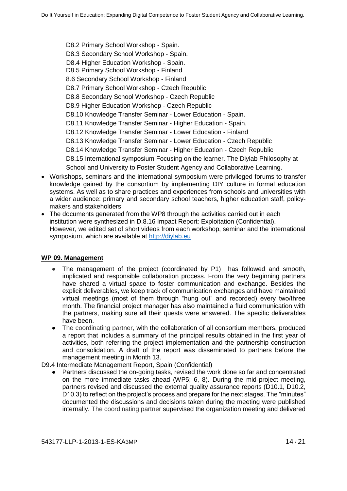D8.2 Primary School Workshop - Spain. D8.3 Secondary School Workshop - Spain. D8.4 Higher Education Workshop - Spain. D8.5 Primary School Workshop - Finland 8.6 Secondary School Workshop - Finland D8.7 Primary School Workshop - Czech Republic D8.8 Secondary School Workshop - Czech Republic D8.9 Higher Education Workshop - Czech Republic D8.10 Knowledge Transfer Seminar - Lower Education - Spain. D8.11 Knowledge Transfer Seminar - Higher Education - Spain. D8.12 Knowledge Transfer Seminar - Lower Education - Finland D8.13 Knowledge Transfer Seminar - Lower Education - Czech Republic D8.14 Knowledge Transfer Seminar - Higher Education - Czech Republic D8.15 International symposium Focusing on the learner. The Diylab Philosophy at School and University to Foster Student Agency and Collaborative Learning.

- Workshops, seminars and the international symposium were privileged forums to transfer knowledge gained by the consortium by implementing DIY culture in formal education systems. As well as to share practices and experiences from schools and universities with a wider audience: primary and secondary school teachers, higher education staff, policymakers and stakeholders.
- The documents generated from the WP8 through the activities carried out in each institution were synthesized in D.8.16 Impact Report: Exploitation (Confidential). However, we edited set of short videos from each workshop, seminar and the international symposium, which are available at [http://diylab.eu](http://diylab.eu/)

### **WP 09. Management**

- The management of the project (coordinated by P1) has followed and smooth, implicated and responsible collaboration process. From the very beginning partners have shared a virtual space to foster communication and exchange. Besides the explicit deliverables, we keep track of communication exchanges and have maintained virtual meetings (most of them through "hung out" and recorded) every two/three month. The financial project manager has also maintained a fluid communication with the partners, making sure all their quests were answered. The specific deliverables have been.
- The coordinating partner, with the collaboration of all consortium members, produced a report that includes a summary of the principal results obtained in the first year of activities, both referring the project implementation and the partnership construction and consolidation. A draft of the report was disseminated to partners before the management meeting in Month 13.

D9.4 Intermediate Management Report, Spain (Confidential)

● Partners discussed the on-going tasks, revised the work done so far and concentrated on the more immediate tasks ahead (WP5; 6, 8). During the mid-project meeting, partners revised and discussed the external quality assurance reports (D10.1, D10.2, D10.3) to reflect on the project's process and prepare for the next stages. The "minutes" documented the discussions and decisions taken during the meeting were published internally. The coordinating partner supervised the organization meeting and delivered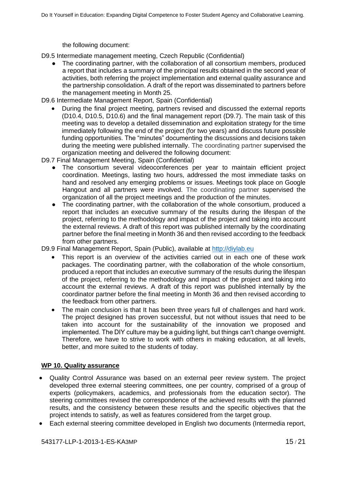the following document:

D9.5 Intermediate management meeting, Czech Republic (Confidential)

The coordinating partner, with the collaboration of all consortium members, produced a report that includes a summary of the principal results obtained in the second year of activities, both referring the project implementation and external quality assurance and the partnership consolidation. A draft of the report was disseminated to partners before the management meeting in Month 25.

D9.6 Intermediate Management Report, Spain (Confidential)

 During the final project meeting, partners revised and discussed the external reports (D10.4, D10.5, D10.6) and the final management report (D9.7). The main task of this meeting was to develop a detailed dissemination and exploitation strategy for the time immediately following the end of the project (for two years) and discuss future possible funding opportunities. The "minutes" documenting the discussions and decisions taken during the meeting were published internally. The coordinating partner supervised the organization meeting and delivered the following document:

D9.7 Final Management Meeting, Spain (Confidential)

- The consortium several videoconferences per year to maintain efficient project coordination. Meetings, lasting two hours, addressed the most immediate tasks on hand and resolved any emerging problems or issues. Meetings took place on Google Hangout and all partners were involved. The coordinating partner supervised the organization of all the project meetings and the production of the minutes.
- The coordinating partner, with the collaboration of the whole consortium, produced a report that includes an executive summary of the results during the lifespan of the project, referring to the methodology and impact of the project and taking into account the external reviews. A draft of this report was published internally by the coordinating partner before the final meeting in Month 36 and then revised according to the feedback from other partners.

D9.9 Final Management Report, Spain (Public), available at [http://diylab.eu](http://diylab.eu/)

- This report is an overview of the activities carried out in each one of these work packages. The coordinating partner, with the collaboration of the whole consortium, produced a report that includes an executive summary of the results during the lifespan of the project, referring to the methodology and impact of the project and taking into account the external reviews. A draft of this report was published internally by the coordinator partner before the final meeting in Month 36 and then revised according to the feedback from other partners.
- The main conclusion is that It has been three years full of challenges and hard work. The project designed has proven successful, but not without issues that need to be taken into account for the sustainability of the innovation we proposed and implemented. The DIY culture may be a guiding light, but things can't change overnight. Therefore, we have to strive to work with others in making education, at all levels, better, and more suited to the students of today.

### **WP 10. Quality assurance**

- Quality Control Assurance was based on an external peer review system. The project developed three external steering committees, one per country, comprised of a group of experts (policymakers, academics, and professionals from the education sector). The steering committees revised the correspondence of the achieved results with the planned results, and the consistency between these results and the specific objectives that the project intends to satisfy, as well as features considered from the target group.
- Each external steering committee developed in English two documents (Intermedia report,

543177-LLP-1-2013-1-ES-KA3MP 15 / 21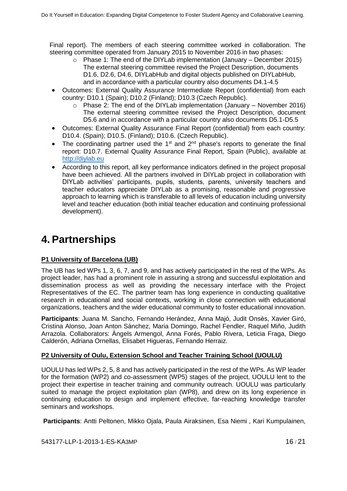Final report). The members of each steering committee worked in collaboration. The steering committee operated from January 2015 to November 2016 in two phases:

- o Phase 1: The end of the DIYLab implementation (January December 2015) The external steering committee revised the Project Description, documents D1.6, D2.6, D4.6, DIYLabHub and digital objects published on DIYLabHub, and in accordance with a particular country also documents D4.1-4.5
- Outcomes: External Quality Assurance Intermediate Report (confidential) from each country: D10.1 (Spain); D10.2 (Finland); D10.3 (Czech Republic).
	- o Phase 2: The end of the DIYLab implementation (January November 2016) The external steering committee revised the Project Description, document D5.6 and in accordance with a particular country also documents D5.1-D5.5
- Outcomes: External Quality Assurance Final Report (confidential) from each country: D10.4. (Spain); D10.5. (Finland); D10.6. (Czech Republic).
- The coordinating partner used the  $1<sup>st</sup>$  and  $2<sup>nd</sup>$  phase's reports to generate the final report: D10.7. External Quality Assurance Final Report, Spain (Public), available at [http://diylab.eu](http://diylab.eu/)
- According to this report, all key performance indicators defined in the project proposal have been achieved. All the partners involved in DIYLab project in collaboration with DIYLab activities' participants, pupils, students, parents, university teachers and teacher educators appreciate DIYLab as a promising, reasonable and progressive approach to learning which is transferable to all levels of education including university level and teacher education (both initial teacher education and continuing professional development).

# <span id="page-15-0"></span>**4. Partnerships**

### **P1 University of Barcelona (UB)**

The UB has led WPs 1, 3, 6, 7, and 9, and has actively participated in the rest of the WPs. As project leader, has had a prominent role in assuring a strong and successful exploitation and dissemination process as well as providing the necessary interface with the Project Representatives of the EC. The partner team has long experience in conducting qualitative research in educational and social contexts, working in close connection with educational organizations, teachers and the wider educational community to foster educational innovation.

Participants: Juana M. Sancho, Fernando Herández, Anna Majó, Judit Onsès, Xavier Giró, Cristina Alonso, Joan Anton Sánchez, Maria Domingo, Rachel Fendler, Raquel Miño, Judith Arrazola. Collaborators: Àngels Armengol, Anna Forés, Pablo Rivera, Leticia Fraga, Diego Calderón, Adriana Ornellas, Elisabet Higueras, Fernando Herraiz.

### **P2 University of Oulu, Extension School and Teacher Training School (UOULU)**

UOULU has led WPs 2, 5, 8 and has actively participated in the rest of the WPs. As WP leader for the formation (WP2) and co-assessment (WP5) stages of the project, UOULU lent to the project their expertise in teacher training and community outreach. UOULU was particularly suited to manage the project exploitation plan (WP8), and drew on its long experience in continuing education to design and implement effective, far-reaching knowledge transfer seminars and workshops.

**Participants**: Antti Peltonen, Mikko Ojala, Paula Airaksinen, Esa Niemi , Kari Kumpulainen,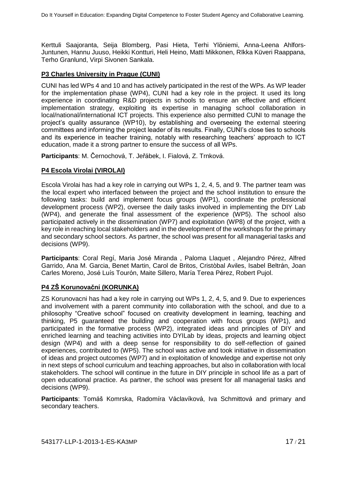Kerttuli Saajoranta, Seija Blomberg, Pasi Hieta, Terhi Ylöniemi, Anna-Leena Ahlfors-Juntunen, Hannu Juuso, Heikki Kontturi, Heli Heino, Matti Mikkonen, Rïkka Küveri Raappana, Terho Granlund, Virpi Sivonen Sankala.

#### **P3 Charles University in Prague (CUNI)**

CUNI has led WPs 4 and 10 and has actively participated in the rest of the WPs. As WP leader for the implementation phase (WP4), CUNI had a key role in the project. It used its long experience in coordinating R&D projects in schools to ensure an effective and efficient implementation strategy, exploiting its expertise in managing school collaboration in local/national/international ICT projects. This experience also permitted CUNI to manage the project's quality assurance (WP10), by establishing and overseeing the external steering committees and informing the project leader of its results. Finally, CUNI's close ties to schools and its experience in teacher training, notably with researching teachers' approach to ICT education, made it a strong partner to ensure the success of all WPs.

Participants: M. Černochová, T. Jeřábek, I. Fialová, Z. Trnková.

### **P4 Escola Virolai (VIROLAI)**

Escola Virolai has had a key role in carrying out WPs 1, 2, 4, 5, and 9. The partner team was the local expert who interfaced between the project and the school institution to ensure the following tasks: build and implement focus groups (WP1), coordinate the professional development process (WP2), oversee the daily tasks involved in implementing the DIY Lab (WP4), and generate the final assessment of the experience (WP5). The school also participated actively in the dissemination (WP7) and exploitation (WP8) of the project, with a key role in reaching local stakeholders and in the development of the workshops for the primary and secondary school sectors. As partner, the school was present for all managerial tasks and decisions (WP9).

Participants: Coral Regí, Maria José Miranda, Paloma Llaquet, Alejandro Pérez, Alfred Garrido, Ana M. Garcia, Benet Martin, Carol de Britos, Cristòbal Aviles, Isabel Beltrán, Joan Carles Moreno, José Luís Tourón, Maite Sillero, María Terea Pérez, Robert Pujol.

### **P4 ZŠ Korunovační(KORUNKA)**

<span id="page-16-0"></span>ZS Korunovacni has had a key role in carrying out WPs 1, 2, 4, 5, and 9. Due to experiences and involvement with a parent community into collaboration with the school, and due to a philosophy "Creative school" focused on creativity development in learning, teaching and thinking, P5 guaranteed the building and cooperation with focus groups (WP1), and participated in the formative process (WP2), integrated ideas and principles of DIY and enriched learning and teaching activities into DYILab by ideas, projects and learning object design (WP4) and with a deep sense for responsibility to do self-reflection of gained experiences, contributed to (WP5). The school was active and took initiative in dissemination of ideas and project outcomes (WP7) and in exploitation of knowledge and expertise not only in next steps of school curriculum and teaching approaches, but also in collaboration with local stakeholders. The school will continue in the future in DIY principle in school life as a part of open educational practice. As partner, the school was present for all managerial tasks and decisions (WP9).

Participants: Tomáš Komrska, Radomíra Václavíková, Iva Schmittová and primary and secondary teachers.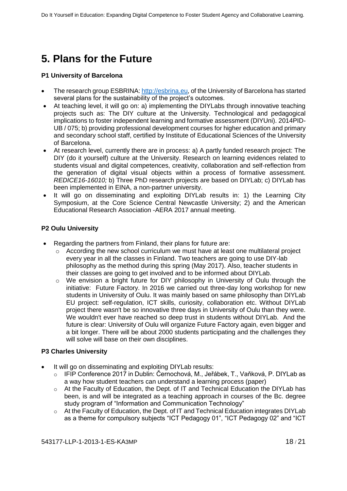# **5. Plans for the Future**

#### **P1 University of Barcelona**

- The research group ESBRINA: [http://esbrina.eu,](http://esbrina.eu/) of the University of Barcelona has started several plans for the sustainability of the project's outcomes.
- At teaching level, it will go on: a) implementing the DIYLabs through innovative teaching projects such as: The DIY culture at the University. Technological and pedagogical implications to foster independent learning and formative assessment (DIYUni). 2014PID-UB / 075; b) providing professional development courses for higher education and primary and secondary school staff, certified by Institute of Educational Sciences of the University of Barcelona.
- At research level, currently there are in process: a) A partly funded research project: The DIY (do it yourself) culture at the University. Research on learning evidences related to students visual and digital competences, creativity, collaboration and self-reflection from the generation of digital visual objects within a process of formative assessment. *REDICE16-16010;* b) Three PhD research projects are based on DIYLab; c) DIYLab has been implemented in EINA, a non-partner university.
- It will go on disseminating and exploiting DIYLab results in: 1) the Learning City Symposium, at the Core Science Central Newcastle University; 2) and the American Educational Research Association -AERA 2017 annual meeting.

#### **P2 Oulu University**

- Regarding the partners from Finland, their plans for future are:
	- o According the new school curriculum we must have at least one multilateral project every year in all the classes in Finland. Two teachers are going to use DIY-lab philosophy as the method during this spring (May 2017). Also, teacher students in their classes are going to get involved and to be informed about DIYLab.
	- $\circ$  We envision a bright future for DIY philosophy in University of Oulu through the initiative: Future Factory. In 2016 we carried out three-day long workshop for new students in University of Oulu. It was mainly based on same philosophy than DIYLab EU project: self-regulation, ICT skills, curiosity, collaboration etc. Without DIYLab project there wasn't be so innovative three days in University of Oulu than they were. We wouldn't ever have reached so deep trust in students without DIYLab. And the future is clear: University of Oulu will organize Future Factory again, even bigger and a bit longer. There will be about 2000 students participating and the challenges they will solve will base on their own disciplines.

#### **P3 Charles University**

- It will go on disseminating and exploiting DIYLab results:
	- o IFIP Conference 2017 in Dublin: Černochová, M., Jeřábek, T., Vaňková, P. DIYLab as a way how student teachers can understand a learning process (paper)
	- $\circ$  At the Faculty of Education, the Dept. of IT and Technical Education the DIYLab has been, is and will be integrated as a teaching approach in courses of the Bc. degree study program of "Information and Communication Technology"
	- o At the Faculty of Education, the Dept. of IT and Technical Education integrates DIYLab as a theme for compulsory subjects "ICT Pedagogy 01", "ICT Pedagogy 02" and "ICT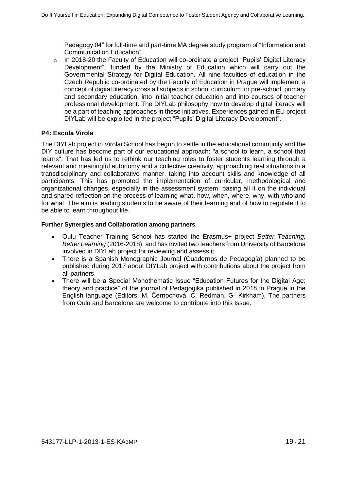Pedagogy 04" for full-time and part-time MA degree study program of "Information and Communication Education".

 $\circ$  In 2018-20 the Faculty of Education will co-ordinate a project "Pupils' Digital Literacy Development", funded by the Ministry of Education which will carry out the Governmental Strategy for Digital Education. All nine faculties of education in the Czech Republic co-ordinated by the Faculty of Education in Prague will implement a concept of digital literacy cross all subjects in school curriculum for pre-school, primary and secondary education, into initial teacher education and into courses of teacher professional development. The DIYLab philosophy how to develop digital literacy will be a part of teaching approaches in these initiatives. Experiences gained in EU project DIYLab will be exploited in the project "Pupils' Digital Literacy Development".

#### **P4: Escola Virola**

The DIYLab project in Virolai School has begun to settle in the educational community and the DIY culture has become part of our educational approach: "a school to learn, a school that learns". That has led us to rethink our teaching roles to foster students learning through a relevant and meaningful autonomy and a collective creativity, approaching real situations in a transdisciplinary and collaborative manner, taking into account skills and knowledge of all participants. This has promoted the implementation of curricular, methodological and organizational changes, especially in the assessment system, basing all it on the individual and shared reflection on the process of learning what, how, when, where, why, with who and for what. The aim is leading students to be aware of their learning and of how to regulate it to be able to learn throughout life.

#### **Further Synergies and Collaboration among partners**

- Oulu Teacher Training School has started the Erasmus+ project *Better Teaching, Better Learning* (2016-2018), and has invited two teachers from University of Barcelona involved in DIYLab project for reviewing and assess it.
- There is a Spanish Monographic Journal (Cuadernos de Pedagogía) planned to be published during 2017 about DIYLab project with contributions about the project from all partners.
- There will be a Special Monothematic Issue "Education Futures for the Digital Age: theory and practice" of the journal of Pedagogika published in 2018 in Prague in the English language (Editors: M. Černochová, C. Redman, G- Kirkham). The partners from Oulu and Barcelona are welcome to contribute into this Issue.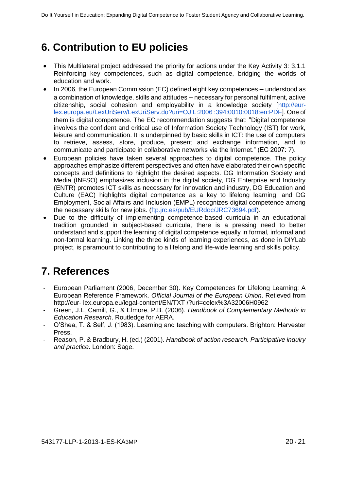# **6. Contribution to EU policies**

- This Multilateral project addressed the priority for actions under the Key Activity 3: 3.1.1 Reinforcing key competences, such as digital competence, bridging the worlds of education and work.
- In 2006, the European Commission (EC) defined eight key competences understood as a combination of knowledge, skills and attitudes – necessary for personal fulfilment, active citizenship, social cohesion and employability in a knowledge society [http://eurlex.europa.eu/LexUriServ/LexUriServ.do?uri=OJ:L:2006 :394:0010:0018:en:PDF]. One of them is digital competence. The EC recommendation suggests that: "Digital competence involves the confident and critical use of Information Society Technology (IST) for work, leisure and communication. It is underpinned by basic skills in ICT: the use of computers to retrieve, assess, store, produce, present and exchange information, and to communicate and participate in collaborative networks via the Internet." (EC 2007: 7).
- European policies have taken several approaches to digital competence. The policy approaches emphasize different perspectives and often have elaborated their own specific concepts and definitions to highlight the desired aspects. DG Information Society and Media (INFSO) emphasizes inclusion in the digital society, DG Enterprise and Industry (ENTR) promotes ICT skills as necessary for innovation and industry, DG Education and Culture (EAC) highlights digital competence as a key to lifelong learning, and DG Employment, Social Affairs and Inclusion (EMPL) recognizes digital competence among the necessary skills for new jobs. (ftp.jrc.es/pub/EURdoc/JRC73694.pdf).
- Due to the difficulty of implementing competence-based curricula in an educational tradition grounded in subject-based curricula, there is a pressing need to better understand and support the learning of digital competence equally in formal, informal and non-formal learning. Linking the three kinds of learning experiences, as done in DIYLab project, is paramount to contributing to a lifelong and life-wide learning and skills policy.

# **7. References**

- European Parliament (2006, December 30). Key Competences for Lifelong Learning: A European Reference Framework. *Official Journal of the European Union*. Retieved from [http://eur-](http://eur-/) lex.europa.eu/legal-content/EN/TXT /?uri=celex%3A32006H0962
- Green, J.L, Camill, G., & Elmore, P.B. (2006). *Handbook of Complementary Methods in Education Research*. Routledge for AERA.
- O'Shea, T. & Self, J. (1983). Learning and teaching with computers. Brighton: Harvester Press.
- Reason, P. & Bradbury, H. (ed.) (2001). *Handbook of action research. Participative inquiry and practice*. London: Sage.